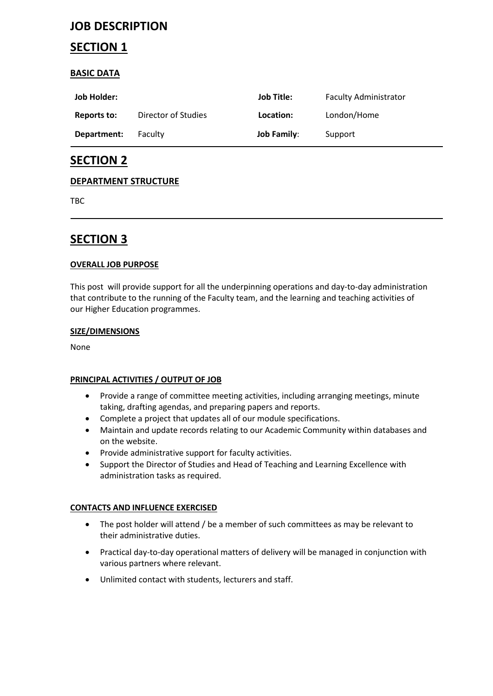# **JOB DESCRIPTION**

# **SECTION 1**

## **BASIC DATA**

| Job Holder: |                     | Job Title:         | <b>Faculty Administrator</b> |
|-------------|---------------------|--------------------|------------------------------|
| Reports to: | Director of Studies | Location:          | London/Home                  |
| Department: | <b>Faculty</b>      | <b>Job Family:</b> | Support                      |

# **SECTION 2**

## **DEPARTMENT STRUCTURE**

TBC

# **SECTION 3**

### **OVERALL JOB PURPOSE**

This post will provide support for all the underpinning operations and day-to-day administration that contribute to the running of the Faculty team, and the learning and teaching activities of our Higher Education programmes.

#### **SIZE/DIMENSIONS**

None

### **PRINCIPAL ACTIVITIES / OUTPUT OF JOB**

- Provide a range of committee meeting activities, including arranging meetings, minute taking, drafting agendas, and preparing papers and reports.
- Complete a project that updates all of our module specifications.
- Maintain and update records relating to our Academic Community within databases and on the website.
- Provide administrative support for faculty activities.
- Support the Director of Studies and Head of Teaching and Learning Excellence with administration tasks as required.

### **CONTACTS AND INFLUENCE EXERCISED**

- The post holder will attend / be a member of such committees as may be relevant to their administrative duties.
- Practical day-to-day operational matters of delivery will be managed in conjunction with various partners where relevant.
- Unlimited contact with students, lecturers and staff.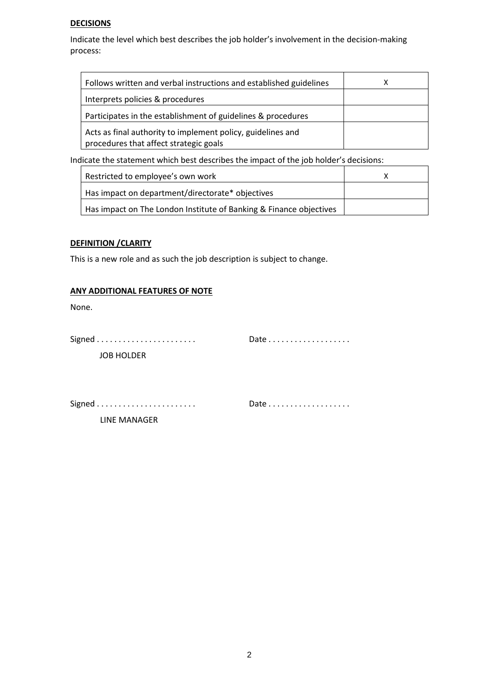#### **DECISIONS**

Indicate the level which best describes the job holder's involvement in the decision-making process:

| Follows written and verbal instructions and established guidelines                                    |  |
|-------------------------------------------------------------------------------------------------------|--|
| Interprets policies & procedures                                                                      |  |
| Participates in the establishment of guidelines & procedures                                          |  |
| Acts as final authority to implement policy, guidelines and<br>procedures that affect strategic goals |  |

Indicate the statement which best describes the impact of the job holder's decisions:

| Restricted to employee's own work                                  |  |
|--------------------------------------------------------------------|--|
| Has impact on department/directorate* objectives                   |  |
| Has impact on The London Institute of Banking & Finance objectives |  |

#### **DEFINITION /CLARITY**

This is a new role and as such the job description is subject to change.

#### **ANY ADDITIONAL FEATURES OF NOTE**

None.

| Date $\ldots \ldots \ldots \ldots \ldots$ |
|-------------------------------------------|
|                                           |

JOB HOLDER

Signed . . . . . . . . . . . . . . . . . . . . . . . Date . . . . . . . . . . . . . . . . . . .

LINE MANAGER